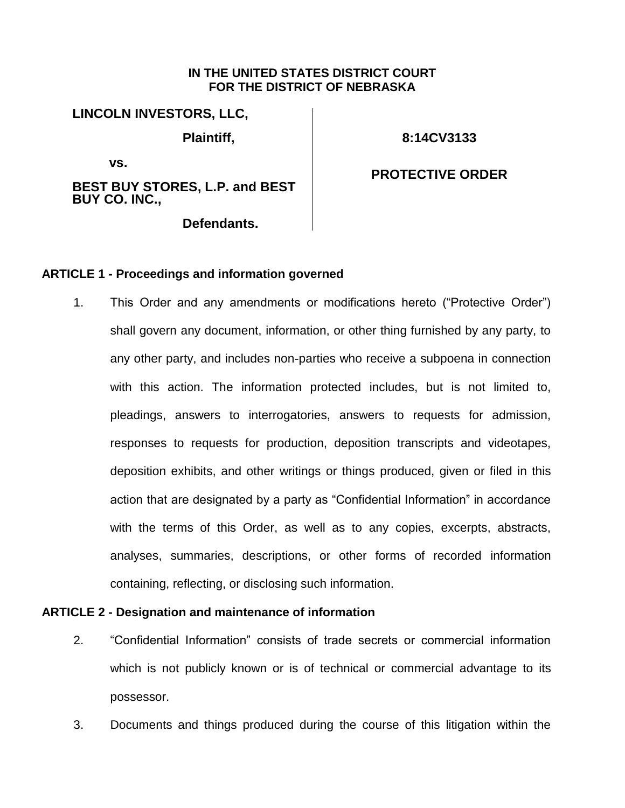#### **IN THE UNITED STATES DISTRICT COURT FOR THE DISTRICT OF NEBRASKA**

# **LINCOLN INVESTORS, LLC,**

**Plaintiff,** 

**8:14CV3133**

**vs.** 

**BEST BUY STORES, L.P. and BEST BUY CO. INC.,**

# **PROTECTIVE ORDER**

**Defendants.**

## **ARTICLE 1 - Proceedings and information governed**

1. This Order and any amendments or modifications hereto ("Protective Order") shall govern any document, information, or other thing furnished by any party, to any other party, and includes non-parties who receive a subpoena in connection with this action. The information protected includes, but is not limited to, pleadings, answers to interrogatories, answers to requests for admission, responses to requests for production, deposition transcripts and videotapes, deposition exhibits, and other writings or things produced, given or filed in this action that are designated by a party as "Confidential Information" in accordance with the terms of this Order, as well as to any copies, excerpts, abstracts, analyses, summaries, descriptions, or other forms of recorded information containing, reflecting, or disclosing such information.

## **ARTICLE 2 - Designation and maintenance of information**

- 2. "Confidential Information" consists of trade secrets or commercial information which is not publicly known or is of technical or commercial advantage to its possessor.
- 3. Documents and things produced during the course of this litigation within the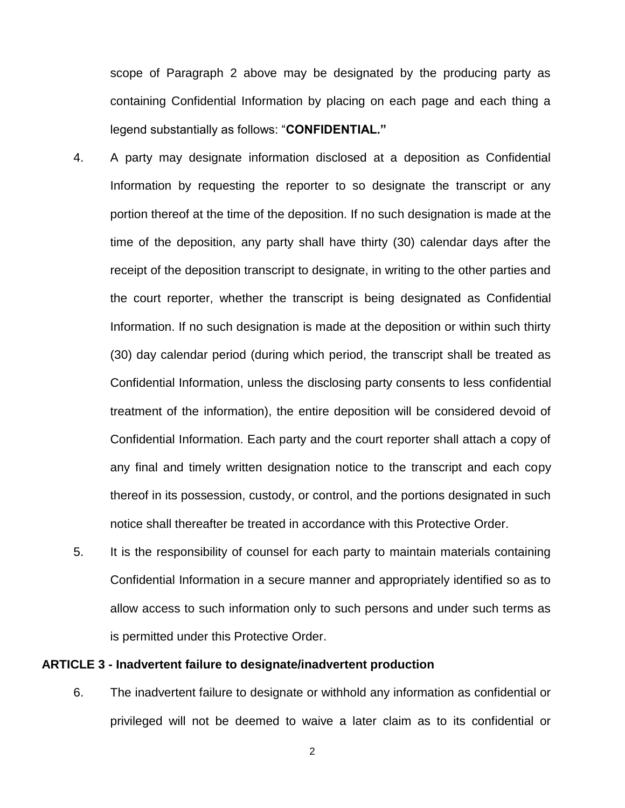scope of Paragraph 2 above may be designated by the producing party as containing Confidential Information by placing on each page and each thing a legend substantially as follows: "**CONFIDENTIAL."**

- 4. A party may designate information disclosed at a deposition as Confidential Information by requesting the reporter to so designate the transcript or any portion thereof at the time of the deposition. If no such designation is made at the time of the deposition, any party shall have thirty (30) calendar days after the receipt of the deposition transcript to designate, in writing to the other parties and the court reporter, whether the transcript is being designated as Confidential Information. If no such designation is made at the deposition or within such thirty (30) day calendar period (during which period, the transcript shall be treated as Confidential Information, unless the disclosing party consents to less confidential treatment of the information), the entire deposition will be considered devoid of Confidential Information. Each party and the court reporter shall attach a copy of any final and timely written designation notice to the transcript and each copy thereof in its possession, custody, or control, and the portions designated in such notice shall thereafter be treated in accordance with this Protective Order.
- 5. It is the responsibility of counsel for each party to maintain materials containing Confidential Information in a secure manner and appropriately identified so as to allow access to such information only to such persons and under such terms as is permitted under this Protective Order.

#### **ARTICLE 3 - Inadvertent failure to designate/inadvertent production**

6. The inadvertent failure to designate or withhold any information as confidential or privileged will not be deemed to waive a later claim as to its confidential or

2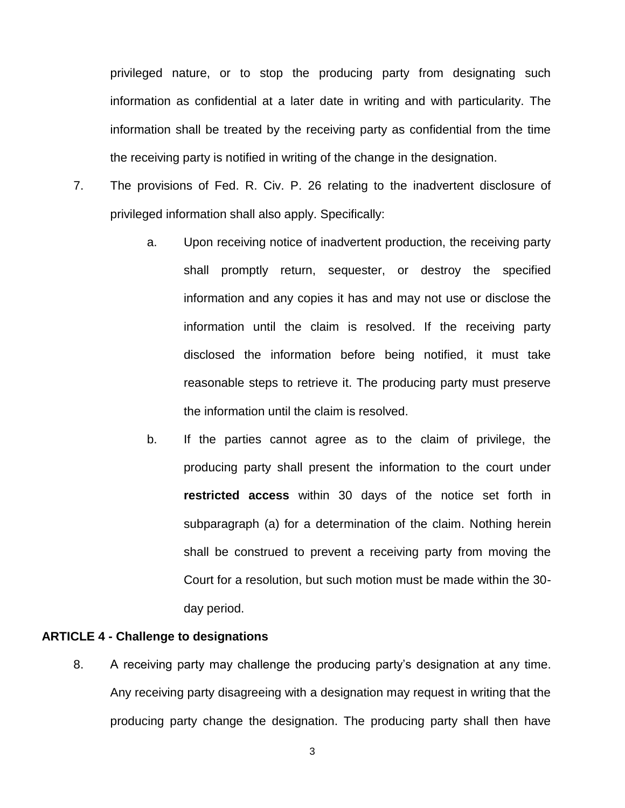privileged nature, or to stop the producing party from designating such information as confidential at a later date in writing and with particularity. The information shall be treated by the receiving party as confidential from the time the receiving party is notified in writing of the change in the designation.

- 7. The provisions of Fed. R. Civ. P. 26 relating to the inadvertent disclosure of privileged information shall also apply. Specifically:
	- a. Upon receiving notice of inadvertent production, the receiving party shall promptly return, sequester, or destroy the specified information and any copies it has and may not use or disclose the information until the claim is resolved. If the receiving party disclosed the information before being notified, it must take reasonable steps to retrieve it. The producing party must preserve the information until the claim is resolved.
	- b. If the parties cannot agree as to the claim of privilege, the producing party shall present the information to the court under **restricted access** within 30 days of the notice set forth in subparagraph (a) for a determination of the claim. Nothing herein shall be construed to prevent a receiving party from moving the Court for a resolution, but such motion must be made within the 30 day period.

#### **ARTICLE 4 - Challenge to designations**

8. A receiving party may challenge the producing party's designation at any time. Any receiving party disagreeing with a designation may request in writing that the producing party change the designation. The producing party shall then have

3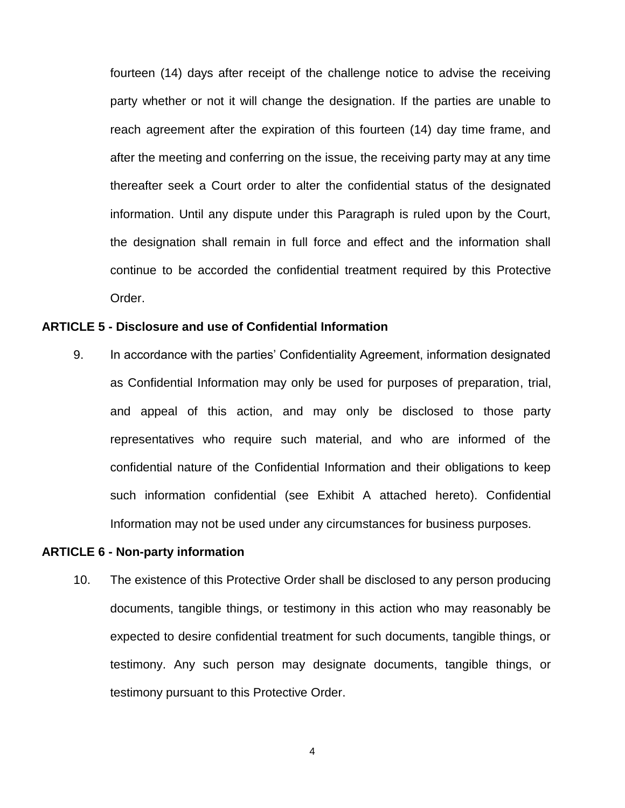fourteen (14) days after receipt of the challenge notice to advise the receiving party whether or not it will change the designation. If the parties are unable to reach agreement after the expiration of this fourteen (14) day time frame, and after the meeting and conferring on the issue, the receiving party may at any time thereafter seek a Court order to alter the confidential status of the designated information. Until any dispute under this Paragraph is ruled upon by the Court, the designation shall remain in full force and effect and the information shall continue to be accorded the confidential treatment required by this Protective Order.

#### **ARTICLE 5 - Disclosure and use of Confidential Information**

9. In accordance with the parties' Confidentiality Agreement, information designated as Confidential Information may only be used for purposes of preparation, trial, and appeal of this action, and may only be disclosed to those party representatives who require such material, and who are informed of the confidential nature of the Confidential Information and their obligations to keep such information confidential (see Exhibit A attached hereto). Confidential Information may not be used under any circumstances for business purposes.

#### **ARTICLE 6 - Non-party information**

10. The existence of this Protective Order shall be disclosed to any person producing documents, tangible things, or testimony in this action who may reasonably be expected to desire confidential treatment for such documents, tangible things, or testimony. Any such person may designate documents, tangible things, or testimony pursuant to this Protective Order.

4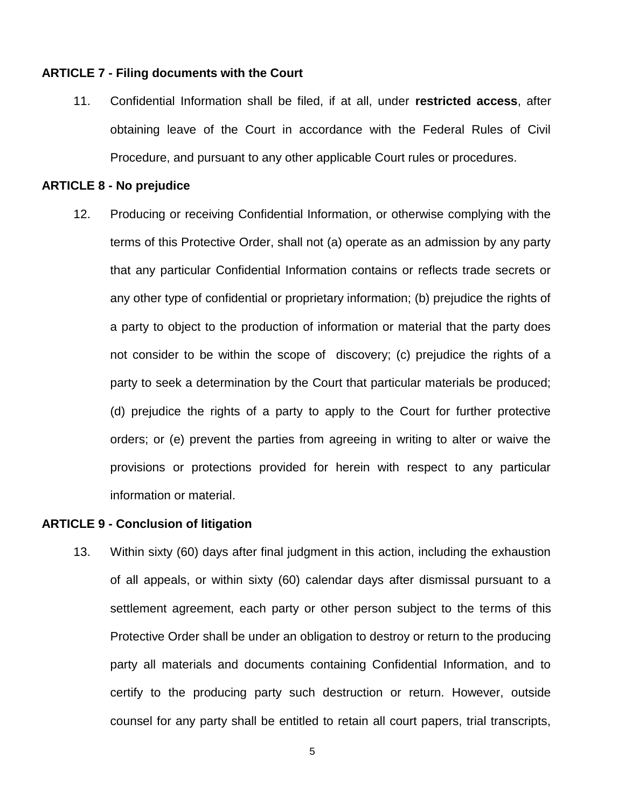#### **ARTICLE 7 - Filing documents with the Court**

11. Confidential Information shall be filed, if at all, under **restricted access**, after obtaining leave of the Court in accordance with the Federal Rules of Civil Procedure, and pursuant to any other applicable Court rules or procedures.

#### **ARTICLE 8 - No prejudice**

12. Producing or receiving Confidential Information, or otherwise complying with the terms of this Protective Order, shall not (a) operate as an admission by any party that any particular Confidential Information contains or reflects trade secrets or any other type of confidential or proprietary information; (b) prejudice the rights of a party to object to the production of information or material that the party does not consider to be within the scope of discovery; (c) prejudice the rights of a party to seek a determination by the Court that particular materials be produced; (d) prejudice the rights of a party to apply to the Court for further protective orders; or (e) prevent the parties from agreeing in writing to alter or waive the provisions or protections provided for herein with respect to any particular information or material.

#### **ARTICLE 9 - Conclusion of litigation**

13. Within sixty (60) days after final judgment in this action, including the exhaustion of all appeals, or within sixty (60) calendar days after dismissal pursuant to a settlement agreement, each party or other person subject to the terms of this Protective Order shall be under an obligation to destroy or return to the producing party all materials and documents containing Confidential Information, and to certify to the producing party such destruction or return. However, outside counsel for any party shall be entitled to retain all court papers, trial transcripts,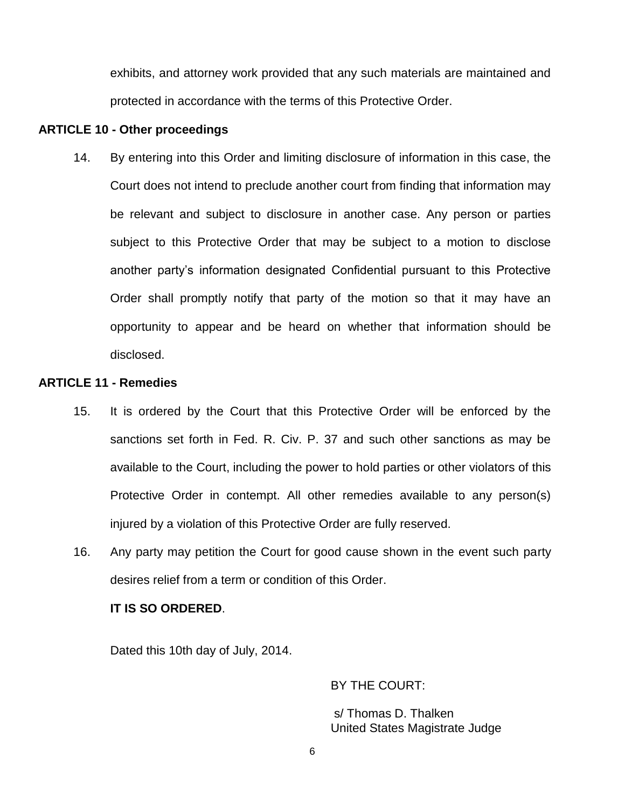exhibits, and attorney work provided that any such materials are maintained and protected in accordance with the terms of this Protective Order.

#### **ARTICLE 10 - Other proceedings**

14. By entering into this Order and limiting disclosure of information in this case, the Court does not intend to preclude another court from finding that information may be relevant and subject to disclosure in another case. Any person or parties subject to this Protective Order that may be subject to a motion to disclose another party's information designated Confidential pursuant to this Protective Order shall promptly notify that party of the motion so that it may have an opportunity to appear and be heard on whether that information should be disclosed.

#### **ARTICLE 11 - Remedies**

- 15. It is ordered by the Court that this Protective Order will be enforced by the sanctions set forth in Fed. R. Civ. P. 37 and such other sanctions as may be available to the Court, including the power to hold parties or other violators of this Protective Order in contempt. All other remedies available to any person(s) injured by a violation of this Protective Order are fully reserved.
- 16. Any party may petition the Court for good cause shown in the event such party desires relief from a term or condition of this Order.

## **IT IS SO ORDERED**.

Dated this 10th day of July, 2014.

BY THE COURT:

s/ Thomas D. Thalken United States Magistrate Judge